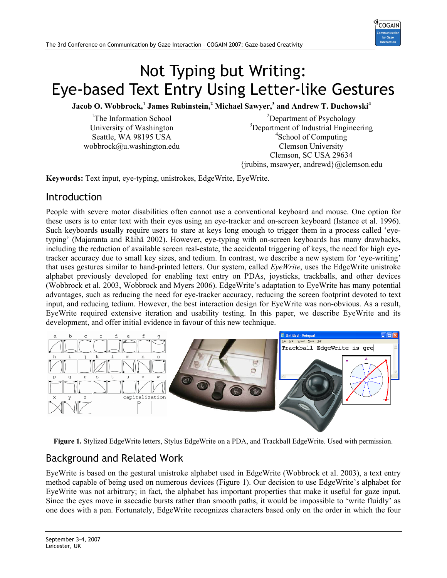

# Not Typing but Writing: Eye-based Text Entry Using Letter-like Gestures

 $\bf{Jacob~O.~Wobbrock,}^1$   $\bf{James~Rubinstein,}^2$   $\bf{Michael~Sawyer,}^3$  and  $\bf{Andrew~T.~Duchowski^4}$ 

<sup>1</sup>The Information School University of Washington Seattle, WA 98195 USA wobbrock@u.washington.edu

<sup>2</sup>Department of Psychology 3 Department of Industrial Engineering 4 School of Computing Clemson University Clemson, SC USA 29634 {jrubins, msawyer, andrewd}@clemson.edu

**Keywords:** Text input, eye-typing, unistrokes, EdgeWrite, EyeWrite.

#### Introduction

People with severe motor disabilities often cannot use a conventional keyboard and mouse. One option for these users is to enter text with their eyes using an eye-tracker and on-screen keyboard (Istance et al. 1996). Such keyboards usually require users to stare at keys long enough to trigger them in a process called 'eyetyping' (Majaranta and Räihä 2002). However, eye-typing with on-screen keyboards has many drawbacks, including the reduction of available screen real-estate, the accidental triggering of keys, the need for high eyetracker accuracy due to small key sizes, and tedium. In contrast, we describe a new system for 'eye-writing' that uses gestures similar to hand-printed letters. Our system, called *EyeWrite*, uses the EdgeWrite unistroke alphabet previously developed for enabling text entry on PDAs, joysticks, trackballs, and other devices (Wobbrock et al. 2003, Wobbrock and Myers 2006). EdgeWrite's adaptation to EyeWrite has many potential advantages, such as reducing the need for eye-tracker accuracy, reducing the screen footprint devoted to text input, and reducing tedium. However, the best interaction design for EyeWrite was non-obvious. As a result, EyeWrite required extensive iteration and usability testing. In this paper, we describe EyeWrite and its development, and offer initial evidence in favour of this new technique.





## Background and Related Work

EyeWrite is based on the gestural unistroke alphabet used in EdgeWrite (Wobbrock et al. 2003), a text entry method capable of being used on numerous devices (Figure 1). Our decision to use EdgeWrite's alphabet for EyeWrite was not arbitrary; in fact, the alphabet has important properties that make it useful for gaze input. Since the eyes move in saccadic bursts rather than smooth paths, it would be impossible to 'write fluidly' as one does with a pen. Fortunately, EdgeWrite recognizes characters based only on the order in which the four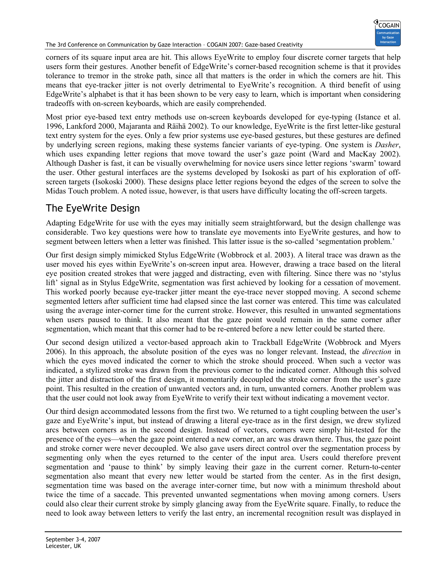The 3rd Conference on Communication by Gaze Interaction – COGAIN 2007: Gaze-based Creativity

corners of its square input area are hit. This allows EyeWrite to employ four discrete corner targets that help users form their gestures. Another benefit of EdgeWrite's corner-based recognition scheme is that it provides tolerance to tremor in the stroke path, since all that matters is the order in which the corners are hit. This means that eye-tracker jitter is not overly detrimental to EyeWrite's recognition. A third benefit of using EdgeWrite's alphabet is that it has been shown to be very easy to learn, which is important when considering tradeoffs with on-screen keyboards, which are easily comprehended.

Most prior eye-based text entry methods use on-screen keyboards developed for eye-typing (Istance et al. 1996, Lankford 2000, Majaranta and Räihä 2002). To our knowledge, EyeWrite is the first letter-like gestural text entry system for the eyes. Only a few prior systems use eye-based gestures, but these gestures are defined by underlying screen regions, making these systems fancier variants of eye-typing. One system is *Dasher*, which uses expanding letter regions that move toward the user's gaze point (Ward and MacKay 2002). Although Dasher is fast, it can be visually overwhelming for novice users since letter regions 'swarm' toward the user. Other gestural interfaces are the systems developed by Isokoski as part of his exploration of offscreen targets (Isokoski 2000). These designs place letter regions beyond the edges of the screen to solve the Midas Touch problem. A noted issue, however, is that users have difficulty locating the off-screen targets.

# The EyeWrite Design

Adapting EdgeWrite for use with the eyes may initially seem straightforward, but the design challenge was considerable. Two key questions were how to translate eye movements into EyeWrite gestures, and how to segment between letters when a letter was finished. This latter issue is the so-called 'segmentation problem.'

Our first design simply mimicked Stylus EdgeWrite (Wobbrock et al. 2003). A literal trace was drawn as the user moved his eyes within EyeWrite's on-screen input area. However, drawing a trace based on the literal eye position created strokes that were jagged and distracting, even with filtering. Since there was no 'stylus lift' signal as in Stylus EdgeWrite, segmentation was first achieved by looking for a cessation of movement. This worked poorly because eye-tracker jitter meant the eye-trace never stopped moving. A second scheme segmented letters after sufficient time had elapsed since the last corner was entered. This time was calculated using the average inter-corner time for the current stroke. However, this resulted in unwanted segmentations when users paused to think. It also meant that the gaze point would remain in the same corner after segmentation, which meant that this corner had to be re-entered before a new letter could be started there.

Our second design utilized a vector-based approach akin to Trackball EdgeWrite (Wobbrock and Myers 2006). In this approach, the absolute position of the eyes was no longer relevant. Instead, the *direction* in which the eyes moved indicated the corner to which the stroke should proceed. When such a vector was indicated, a stylized stroke was drawn from the previous corner to the indicated corner. Although this solved the jitter and distraction of the first design, it momentarily decoupled the stroke corner from the user's gaze point. This resulted in the creation of unwanted vectors and, in turn, unwanted corners. Another problem was that the user could not look away from EyeWrite to verify their text without indicating a movement vector.

Our third design accommodated lessons from the first two. We returned to a tight coupling between the user's gaze and EyeWrite's input, but instead of drawing a literal eye-trace as in the first design, we drew stylized arcs between corners as in the second design. Instead of vectors, corners were simply hit-tested for the presence of the eyes—when the gaze point entered a new corner, an arc was drawn there. Thus, the gaze point and stroke corner were never decoupled. We also gave users direct control over the segmentation process by segmenting only when the eyes returned to the center of the input area. Users could therefore prevent segmentation and 'pause to think' by simply leaving their gaze in the current corner. Return-to-center segmentation also meant that every new letter would be started from the center. As in the first design, segmentation time was based on the average inter-corner time, but now with a minimum threshold about twice the time of a saccade. This prevented unwanted segmentations when moving among corners. Users could also clear their current stroke by simply glancing away from the EyeWrite square. Finally, to reduce the need to look away between letters to verify the last entry, an incremental recognition result was displayed in